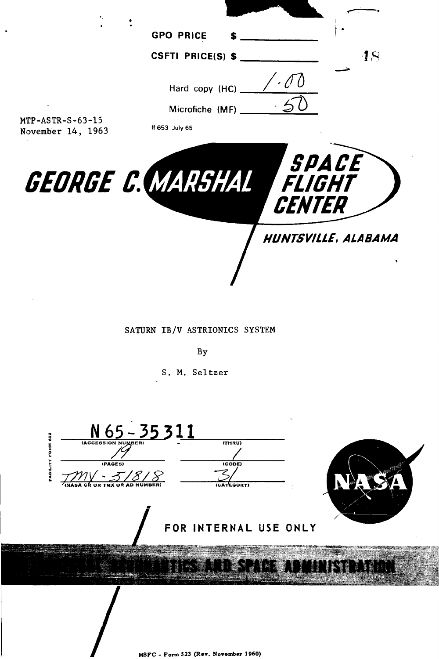

SATURN IB/V ASTRIONICS SYSTEM

By

S. M. Seltzer

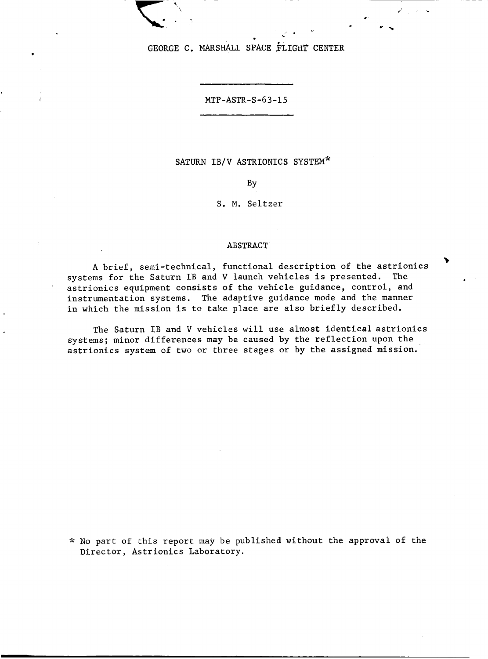GEORGE C. MARSHALL SPACE FLIGHT CENTER

MTP-ASTR-S-63-15

## SATURN IB/V ASTRIONICS SYSTEM\*

BY

## S. M. Seltzer

#### ABSTRACT

A brief, semi-technical, functional description of the astrionics  $\quad$ systems for the Saturn IB and **V** launch vehicles is presented. The astrionics equipment consists of the vehicle guidance, control, and instrumentation systems. The adaptive guidance mode and the manner in which the mission is to take place are also briefly described.

The Saturn IB and V vehicles will use almost identical astrionics systems; minor differences may be caused by the reflection upon the astrionics system of two or three stages or by the assigned mission.

*fc* No part of this report may be published without the approval of the Director, Astrionics Laboratory.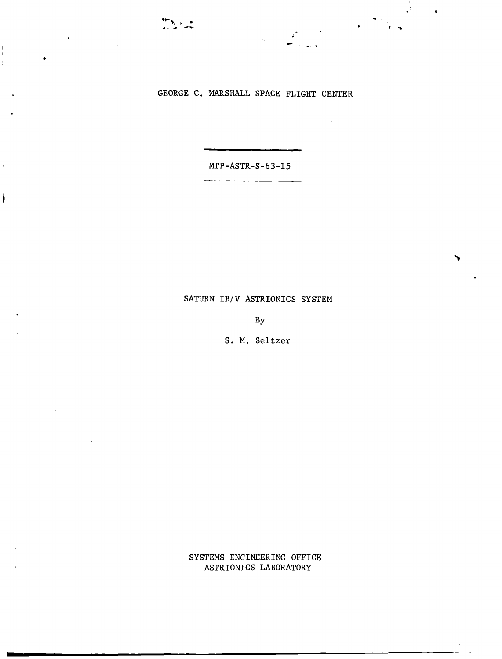I,

# GEORGE C. MARSHALL SPACE FLIGHT CENTER

 $\overline{\phantom{a}}$ 

**MTP-ASTR-S-63-15** 

## **SATURN IB/V ASTRIONICS SYSTEM**

**BY** 

**S. M.** Seltzer

**SYSTEMS ENGINEERING OFFICE ASTRIONICS LABORATORY**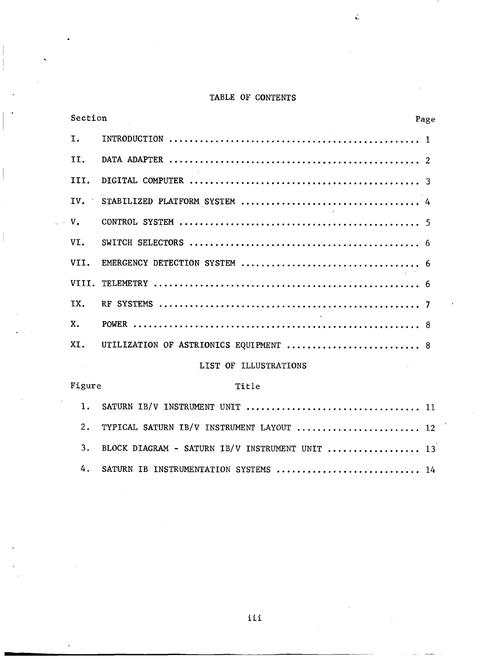# TABLE OF CONTENTS

**br** 

| Section        |                                        | Page |  |
|----------------|----------------------------------------|------|--|
| I.             |                                        |      |  |
| II.            |                                        |      |  |
| TTT.           |                                        |      |  |
| IV.            |                                        |      |  |
| $\mathbf{V}$ . |                                        |      |  |
| VT.            |                                        |      |  |
| VTT.           |                                        |      |  |
|                |                                        |      |  |
| TX.            |                                        |      |  |
| X.             |                                        |      |  |
| XI.            | UTILIZATION OF ASTRIONICS EQUIPMENT  8 |      |  |
|                | <b>TTCT OF TIITCTDATTOMC</b>           |      |  |

j

#### LIST OF ILLUSTRATIONS

| Figure | Title                                              |
|--------|----------------------------------------------------|
|        |                                                    |
|        | 2. TYPICAL SATURN IB/V INSTRUMENT LAYOUT  12       |
|        | 3. BLOCK DIAGRAM - SATURN IB/V INSTRUMENT UNIT  13 |
| 4.     | SATURN IB INSTRUMENTATION SYSTEMS  14              |

.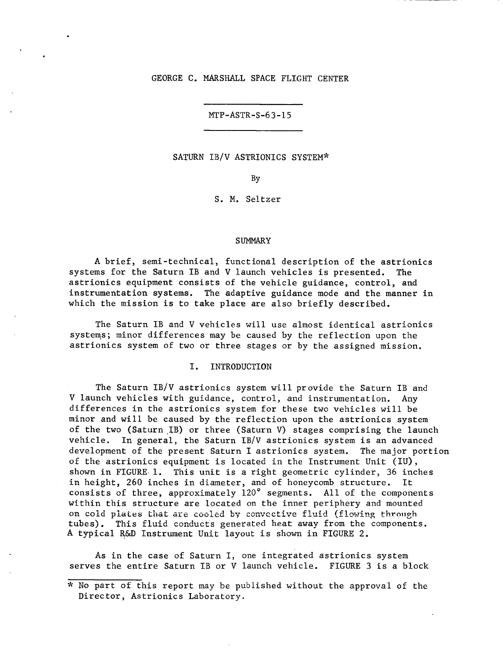## GEORGE **C.** MARSHALL SPACE FLIGHT CENTER

MTP-ASTR-S-63-15

## SATURN IB/V ASTRIONICS SYSTEM\*

BY

*S.* M. Seltzer

#### **SUMMARY**

**A** brief, semi-technical, functional description of the astrionics systems for the Saturn IB and V launch vehicles is presented. The astrionics equipment consists of the vehicle guidance, control, and instrumentation systems. The adaptive guidance mode and the manner in which the mission is to take place are also briefly described.

The Saturn IB and V vehicles will use almost identical astrionics systems; minor differences may be caused by the reflection upon the astrionics system of two or three stages or by the assigned mission.

## I. INTRODUCTION

The Saturn IB/V astrionics system will provide the Saturn IB and V launch vehicles with guidance, control, and instrumentation. Any differences in the astrionics system for these two vehicles will be minor and will be caused by the reflection upon the astrionics system of the two (Saturn,IB) or three (Saturn V) stages comprising the launch vehicle. development of the present Saturn I astrionics system. The major portion of the astrionics equipment is located in the Instrument Unit (IU), shown in FIGURE.l. This unit is a right geometric cylinder, 36 inches in height, 260 inches in diameter, and of honeycomb structure. consists of three, approximately 120' segments. All of the components within this structure are located on the inner periphery and mounted on cold plates that are cooled by convective fluid (flowing through tubes). This fluid conducts generated heat away from the components. **A** typical R&D Instrument Unit layout is shown in FIGURE 2. In general, the Saturn IB/V astrionics system is an advanced

**As** in the case of Saturn I, one integrated astrionics system serves the entire Saturn IB or V launch vehicle. FIGURE 3 is a block

**<sup>9;</sup>** No part of this report may be published without the approval of the Director, Astrionics Laboratory.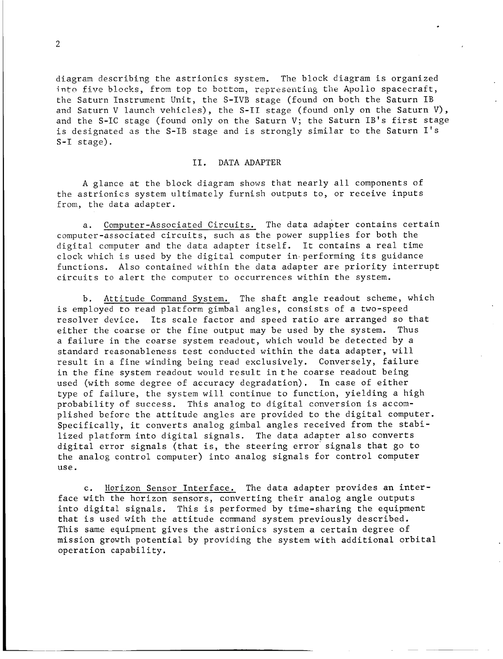diagram describing the astrionics system. The block diagram is organized the Saturn Instrument Unit, the S-IVB stage (found on both the Saturn IB and Saturn V launch vehicles), the S-I1 stage (found only on the Saturn V), and the S-IC stage (found only on the Saturn V; the Saturn IB's first stage is designated as the S-IB stage and is strongly similar to the Saturn 1's S-I stage). into five blocks, from top to bottom, representing the Apollo spacecraft,

## 11. DATA ADAPTER

A glance at the block diagram shows that nearly all components of the astrionics system ultimately furnish outputs to, or receive inputs from, the data adapter.

a. Computer-Associated Circuits. The data adapter contains certain computer-associated circuits, such as the power supplies for both the digital computer and the data adapter itself. It contains a real time clock which is used by the digital computer in performing its guidance functions. Also contained within the data adapter are priority interrupt circuits to alert the computer to occurrences within the system.

Attitude Command System. The shaft angle readout scheme, which is employed to read platform gimbal angles, consists of a two-speed resolver device. Its scale factor and speed ratio are arranged so that either the coarse or the fine output may be used by the system. Thus a failure in the coarse system readout, which would be detected by a standard reasonableness test conducted within the data adapter, will result in a fine winding being read exclusively. Conversely, failure in the fine system readout would result in the coarse readout being used (with some degree of accuracy degradation). In case of either type of failure, the system will continue to function, yielding a high probability of success. This analog to digital conversion is accomplished before the attitude angles are provided to the digital computer. Specifically, it converts analog gimbal angles received from the stabilized platform into digital signals. The data adapter also converts digital error signals (that is, the steering error' signals that go to the analog control computer) into analog signals for control computer use.

c. Horizon Sensor Interface. The data adapter provides an interface with the horizon sensors, converting their analog angle outputs into digital signals. This is performed by time-sharing the equipment that is used with the attitude command system previously described. This same equipment gives the astrionics system a certain degree of mission growth potential by providing the system with additional orbital operation capability.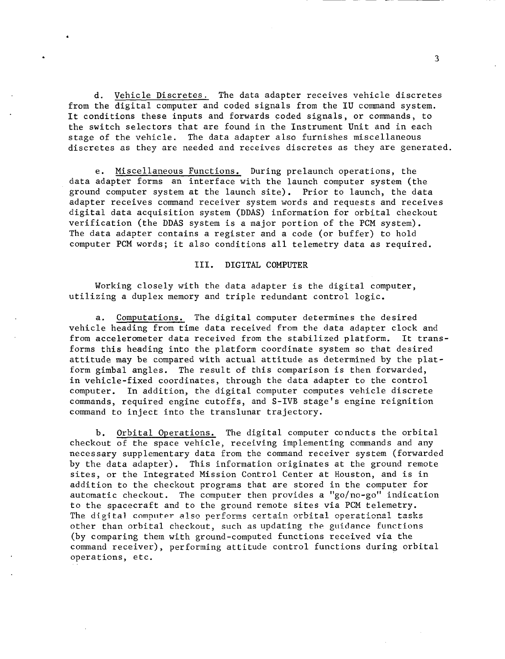d. Vehicle Discretes. The data adapter receives vehicle discretes from the digital computer and coded signals from the IU command system. It conditions these inputs and forwards coded signals, or commands, to the switch selectors that are found in the Instrument Unit and in each stage of the vehicle. The data adapter also furnishes miscellaneous discretes as they are needed and receives discretes as they are generated.

e. Miscellaneous Functions. During prelaunch operations, the data adapter forms an interface with the launch computer system (the ground computer system at the launch site). Prior to launch, the data adapter receives command receiver system words and requests and receives digital data acquisition system (DDAS) information for orbital checkout verification (the **DDAS** system is a major portion of the PCM system). The data adapter contains a register and a code (or buffer) to hold computer PCM words; it also conditions all telemetry data as required.

## 111. DIGITAL COMPUTER

Working closely with the data adapter is the digital computer, utilizing a duplex memory and triple redundant control logic.

a. Computations. The digital computer determines the desired vehicle heading from time data received from the data adapter clock and<br>from accelerometer data received from the stabilized platform. It transfrom accelerometer data received from the stabilized platform. forms this heading into the platform coordinate system so that desired attitude may be compared with actual attitude as determined by the platform gimbal angles. The result of this comparison is then forwarded, in vehicle-fixed coordinates, through the data adapter to the control computer. In addition, the digital computer computes vehicle discrete commands, required engine cutoffs, and S-IVB stage's engine reignition command to inject into the translunar trajectory.

b. Orbital Operations. The digital computer conducts the orbital checkout of the space vehicle, receiving implementing commands and any necessary supplementary data from the command receiver system (forwarded by the data adapter). This information originates at the ground remote sites, or the Integrated Mission Control Center at Houston, and is in addition to the checkout programs that are stored in the computer for automatic checkout. The computer then provides a "go/no-go" indication to the spacecraft and to the ground remote sites via PCM telemetry. The digital computer also performs certain orbital operational tasks other than orbital checkout, such as updating the guidance functions (by comparing them with ground-computed functions received via the command receiver), performing attitude control functions during orbital operations, etc.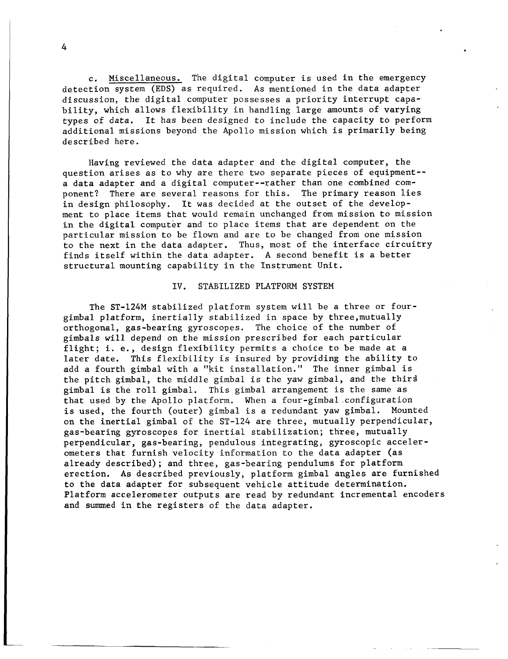c. Miscellaneous. The digital computer is used in the emergency detection system (EDS) as required. **As** mentioned in the data adapter discussion, the digital computer possesses a priority interrupt capability, which allows flexibility in handling large amounts of varying types of data. It has been designed to include the capacity to perform additional missions beyond the Apollo mission which is primarily being described here.

Having reviewed the data adapter and the digital computer, the question arises as to why are there two separate pieces of equipment- a data adapter and a digital computer--rather than one combined component? There are several reasons for this. in design philosophy. It was decided at the outset of the development to place items that would remain unchanged from mission to mission in the digital computer and to place items that are dependent on the particular mission to be flown and are to be changed from one mission to the next in the data adapter. Thus, most of the interface circuitry finds itself within the data adapter. A second benefit is a better structural mounting capability in the Instrument Unit. The primary reason lies

#### IV. STABILIZED PLATFORM SYSTEM

The ST-124M stabilized platform system will be a three or fourgimbal platform, inertially stabilized in space by three,mutually orthogonal, gas-bearing gyroscopes. The choice of the number of gimbals will depend on the mission prescribed for each particular flight; i. e., design flexibility permits a choice to be made at a later date. This flexibility is insured by providing the ability to add a fourth gimbal with a "kit installation.'' The inner gimbal is the pitch gimbal, the middle gimbal is the yaw gimbal, and the third gimbal is the roll gimbal. This gimbal arrangement is the same as that used by the Apollo platform. When a **four-gimbal.configuration** is used, the fourth (outer) gimbal is a redundant yaw gimbal. Mounted on the inertial gimbal of the ST-124 are three, mutually perpendicular, gas-bearing gyroscopes for inertial stabilization; three, mutually perpendicular, gas-bearing, pendulous integrating, gyroscopic accelerometers that furnish velocity information to the data adapter (as already described); and three, gas-bearing pendulums for platform erection. As described previously, platform gimbal angles are furnished to the data adapter for subsequent vehicle attitude determination. Platform accelerometer outputs are read by redundant incremental encoders and summed in the registers of the data adapter.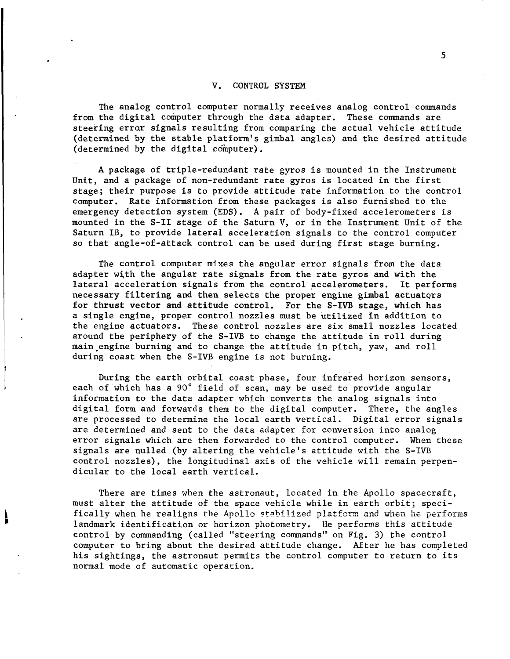## V. CONTROL SYSTEM

The analog control computer normally receives analog control commands from the digital computer through the data adapter. These commands are steering errar signals resulting from comparing the actual vehicle attitude (determined by the stable platform's gimbal angles) and the desired attitude (determined by the digital computer).

**A** package of triple-redundant rate gyros is mounted in the Instrument Unit, and a package of non-redundant rate gyros is located in the first stage; their purpose is to provide attitude rate information to the control computer. Rate information from these packages is also furnished to the emergency detection system (EDS). **A** pair of body-fixed accelerometers is mounted in the S-I1 stage of the Saturn V, or in the Instrument Unit of the Saturn IB, to provide lateral acceleration signals to the control computer so that angle-of-attack control can be used during first stage burning.

The control computer mixes the angular error signals from the data adapter with the angular rate signals from the rate gyros and with the lateral acceleration signals from the control accelerometers. necessary filtering and then selects the proper engine gimbal actuators for thrust vector and attitude control. For the S-IVB stage, which has a single engine, proper control nozzles must be utilized in addition to the engine actuators. These control nozzles are six small nozzles located around the periphery of the S-IVB to change the attitude in roll during main,engine burning and to change the attitude in pitch, yaw, and roll during coast when the S-IVB engine is not burning. It performs

During the earth orbital coast phase, four infrared horizon sensors, each of which has a 90' field of scan, may be used to provide angular information to the data adapter which converts the analog signals into digital form and forwards them to the digital computer. There, the angles are processed to determine the local earth vertical. Digital error signals are determined and sent to the data adapter for conversion into analog error signals which are then forwarded to the control computer. When these signals are nulled (by altering the vehicle's attitude with the S-IVB control nozzles), the longitudinal axis of the vehicle will remain perpendicular to the local earth vertical.

There are times when the astronaut, located in the Apollo spacecraft, must alter the attitude of the space vehicle while in earth orbit; specifically when he realigns the Apollo stabilized platform and when he performs landmark identification or horizon photometry. He performs this attitude control by commanding (called "steering commands" on Fig. **3)** the control computer to bring about the desired attitude change. After he has completed his sightings, the astronaut permits the control computer to return to its normal mode of automatic operation.

**I L**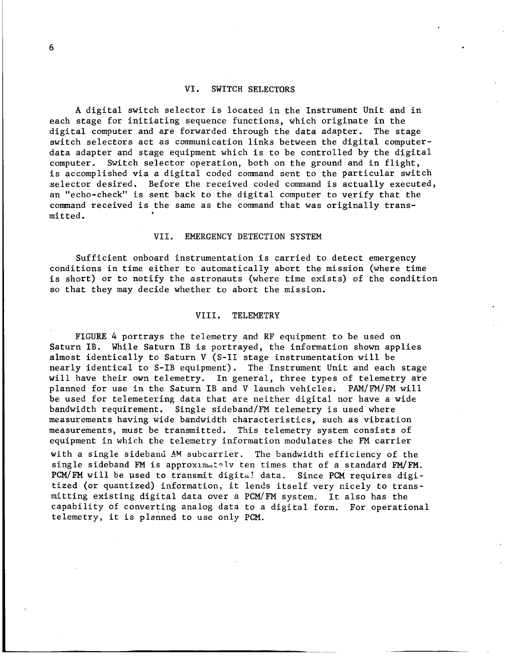#### VI. SWITCH SELECTORS

**A** digital switch selector is located in the Instrument Unit and in each stage for initiating sequence functions, which originate in the<br>digital computer and are forwarded through the data adapter. The stage digital computer and are forwarded through the data adapter. switch selectors act as communication links between the digital computerdata adapter and stage equipment which is to be controlled by the digital computer. is accomplished via a digital coded command sent to the particular switch selector desired. Before the received coded command is actually executed, an "echo-check'' is sent back to the digital computer to verify that the command received is the same as the command that was originally transmit ted . Switch selector operation, both on the ground and in flight,

#### VII. EMERGENCY DETECTION SYSTEM

Sufficient onboard instrumentation is carried to detect emergency conditions in time either to automatically abort the mission (where time is short) or to notify the astronauts (where time exists) of the condition **so** that they may decide whether to abort the mission.

#### VIII. TELEMETRY

FIGURE *4* portrays the telemetry and RF equipment to be used on Saturn IB. While Saturn IB is portrayed, the information shown applies almost identically to Saturn V (S-I1 stage instrumentation will be nearly identical to S-IB equipment). The Instrument Unit and each stage will have their own telemetry. In general, three types of telemetry are planned for use in the Saturn IB and V launch vehicles. **PAM/FM/FM** will be used for telemetering data that are neither digital nor have a wide bandwidth requirement. Single sideband/FM telemetry is used where measurements having wide bandwidth characteristics, such as vibration measurements, must be transmitted. This telemetry system consists of equipment in which the telemetry information modulates the FM carrier with a single sideband **AM** subcarrier. The bandwidth efficiency of the single sideband FM is approxima:?lv ten times that of a standard **FM/FM.** 

PCM/FM will be used to transmit digital data. Since PCM requires digitized (or quantized) information, it lends itself very nicely to transmitting existing digital data over a PCM/FM system. It also has the capability of converting analog data to a digital form. For operational telemetry, it is planned to use only PCM.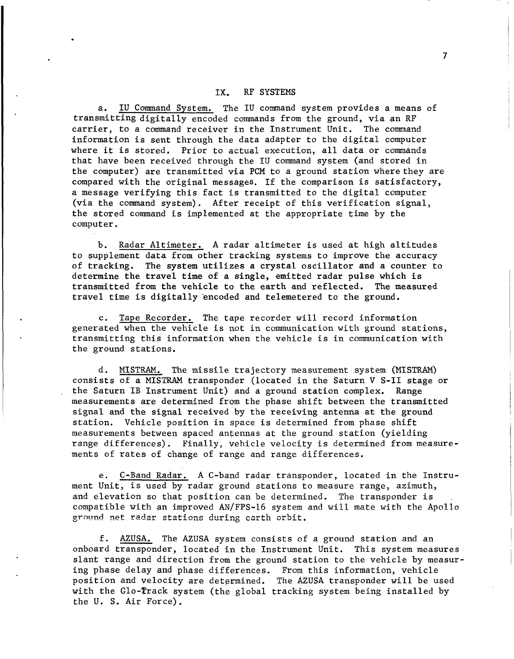#### IX. RF SYSTEMS

a. IU Command System. The IU command system provides a means of transmitting digitally encoded commands from the ground, via an RF carrier, to a command receiver in the Instrument Unit. The command information is sent through the data adapter to the digital computer where it is stored. Prior to actual execution, all data or commands that have been received through the IU command system (and stored in the computer) are transmitted via PCM to a ground station wherethey are compared with the original messages. If the comparison is satisfactory, a message verifying this fact is transmitted to the digital computer (via the command system). After receipt of this verification signal, the stored command is implemented at the appropriate time by the computer.

b. Radar Altimeter. A radar altimeter is used at high altitudes to supplement data from other tracking systems to improve the accuracy of tracking. The system utilizes a crystal oscillator and a counter to determine the travel time of a single, emitted radar pulse which is transmitted from the vehicle to the earth and reflected. The measured travel time is digitally 'encoded and telemetered to the ground.

c. Tape Recorder. The tape recorder will record information generated when the vehicle is not in communication with ground stations, transmitting this information when the vehicle is in communication with the ground stations.

d. MISTRAM. The missile trajectory measurement system (MISTRAM) consists of a MISTRAM transponder (located in the Saturn V S-I1 stage or the Saturn IB Instrument Unit) and a ground station complex. Range measurements are determined from the phase shift between the transmitted signal and the signal received by the receiving antenna at the ground station. Vehicle position in space is determined from phase shift measurements between spaced antennas at the ground station (yielding range differences). Finally, vehicle velocity is determined from measurements of rates of change of range and range differences.

e. C-Band Radar. A C-band radar transponder, located in the Instrument Unit, is used by radar ground stations to measure range, azimuth, and elevation so that position can be determined. The transponder is compatible with an improved AN/FPS-16 system and will mate with the Apollo ground net radar stations during carth orbit.

f. AZUSA. The AZUSA system consists of a ground station and an onboard transponder, located in the Instrument Unit. This system measures slant range and direction from the ground station to the vehicle by measuring phase delay and phase differences. From this information, vehicle position and velocity are determined. The AZUSA transponder will be used with the Glo-Track system (the global tracking system being installed by the U. S. Air Force).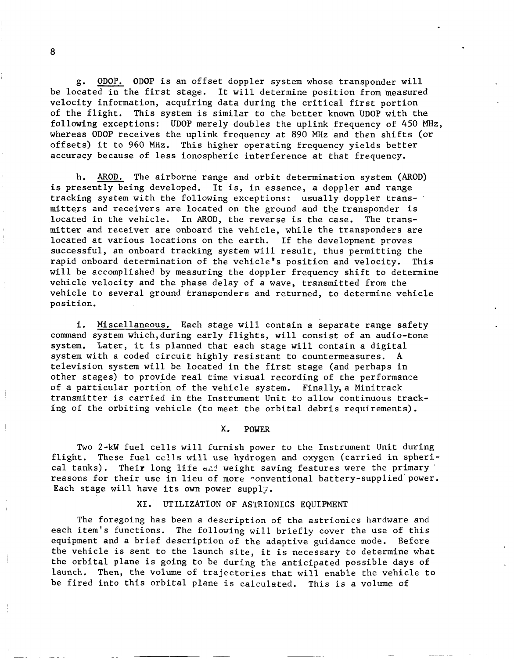g. <u>ODOP.</u> ODOP is an offset doppler system whose transponder will<br>cated in the first stage. It will determine position from measured<br>ity information, acquiring data during the critical first portion be located in the first stage. It will determine position from measured velocity information, acquiring data during the critical first portion of the flight. This system is similar to the better known UDOP with the following exceptions: UDOP merely doubles the uplink frequency of *450* **MHz,**  whereas ODOP receives the uplink frequency at *890* MHz and then shifts (or offsets) it to 960 **MHz.**  This higher operating frequency yields better accuracy because of less ionospheric interference at that frequency. ity information, acquiring data during the critical first portion<br>e flight. This system is similar to the better known UDOP with the<br>wing exceptions: UDOP merely doubles the uplink frequency of 450 M<br>as ODOP receives the u

is presently being developed. It is, in essence, a doppler and range tracking system with the following exceptions: usually doppler transmitters and receivers are located on the ground and the transponder is located in the vehicle. In AROD, the reverse is the case. The transmitter and receiver are onboard the vehicle, while the transponders are located at various locations on the earth. If the development proves successful, an onboard tracking system will result, thus permitting the rapid onboard determination of the vehicle's position and velocity. will be accomplished by measuring the doppler frequency shift to determine vehicle velocity and the phase delay of a wave, transmitted from the vehicle to several ground transponders and returned, to determine vehicle posit ion. This

i. Miscellaneous. Each stage will contain a separate range safety command system which,during early flights, will consist of an audio-tone system. Later, it is planned that each stage will contain a digital system with a coded circuit highly resistant to countermeasures. A television system will be located in the first stage (and perhaps in other stages) to provide real time visual recording of the performance of a particular portion of the vehicle system. Finally,a Minitrack transmitter is carried in the Instrument Unit to allow continuous tracking of the orbiting vehicle (to meet the orbital debris requirements).

#### in the contract of the contract of the contract of the contract of the contract of the contract of the contract of the contract of the contract of the contract of the contract of the contract of the contract of the contrac

Two 2-kW fuel cells will furnish power to the Instrument Unit during flight. These fuel cells will use hydrogen and oxygen (carried in spherical tanks). Their long life *d~rl* weight saving features were the primary. reasons for their use in lieu of more conventional battery-supplied power. Each stage will have its own power supply.

#### XI. UTILIZATION OF ASTRIONICS EQUIPMENT

The foregoing has been a description of the astrionics hardware and each item's functions. The following will briefly cover the use of this equipment and a brief description of the adaptive guidance mode. Before the vehicle is sent to the launch site, it is necessary to determine what the orbital plane is going to be during the anticipated possible days of launch. Then, the volume of trajectories that will enable the vehicle to be fired into this orbital plane is calculated. This is a volume of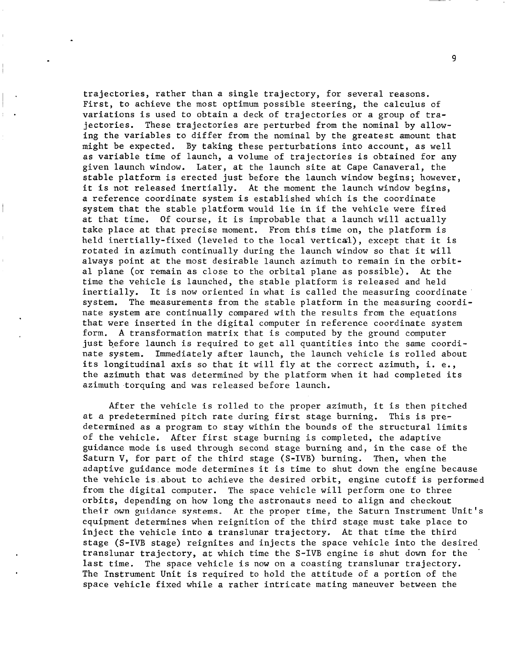trajectories, rather than a single trajectory, for several reasons. First, to achieve the most optimum possible steering, the calculus of variations is used to obtain a deck of trajectories or a group of trajectories. These trajectories are perturbed from the nominal by allowing the variables to differ from the nominal by the greatest amount that might be expected. By taking these perturbations into account, as well as variable time of launch, a volume of trajectories is obtained for any given launch window. Later, at the launch site at Cape Canaveral, the stable platform is erected just before the launch window begins; however, it is not released inertially. At the moment the launch window begins, a reference coordinate system is established which is the coordinate system that the stable platform would lie in if the vehicle were fired at that time. Of course, it is improbable that a launch will actually take place at that precise moment, From this time on, the platform is held inertially-fixed (leveled to the local vertical), except that it is rotated in azimuth continually during the launch window so that it will always point at the most desirable launch azimuth to remain in the orbital plane (or remain as close to the orbital plane as possible). At the time the vehicle is launched, the stable platform is released and held inertially. It is now oriented in what is called the measuring coordinate system. The measurements from the stable platform in the measuring coordinate system are continually compared with the results from the equations that were inserted in the digital computer in reference coordinate system form. **A** transformation matrix that is computed by the ground computer just before launch is required to get all quantities into the same coordinate system. Immediately after launch, the launch vehicle is rolled about its longitudinal axis so that it will fly at the correct azimuth, i. e., the azimuth that was determined by the platform when it had completed its azimuth torquing and was released before launch.

After the vehicle is rolled to the proper azimuth, it is then pitched at a predetermined pitch rate during first stage burning. This is predetermined as a program to stay within the bounds of the structural limits of the vehicle. After first stage burning is completed, the adaptive guidance mode is used through second stage burning and, in the case of the Saturn V, for part of the third stage (S-IVB) burning. Then, when the adaptive guidance mode determines it is time to shut down the engine because the vehicle is.about to achieve the desired orbit, engine cutoff is performed from the digital computer. The space vehicle will perform one to three orbits, depending on how long the astronauts need to align and checkout their own guidance systems. **At** the proper time, the Saturn Instrument Unit's equipment determines when reignition of the third stage must take place to inject the vehicle into **a** translunar trajectory. At that time the third stage (S-IVB stage) reignites and injects the space vehicle into the desired translunar trajectory, at which time the S-IVB engine is shut down for the . last time. The space vehicle is now on a coasting translunar trajectory. The Instrument Unit is required to hold the attitude of a portion of the space vehicle fixed while a rather intricate mating maneuver between the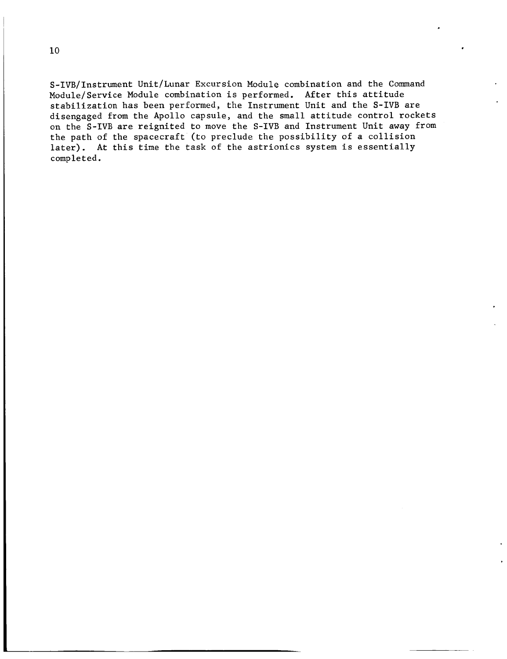S-IVB/Instrument Unit/Lunar Excursion Module combination and the Command Module/Service Module combination is performed. After this attitude stabilization has been performed, the Instrument Unit and the S-IVB are disengaged from the Apollo capsule, and the small attitude control rockets on the S-IVB are reignited to move the S-IVB and Instrument Unit away from the path of the spacecraft (to preclude the possibility of a collision later). At this time the task of the astrionics system is essentially completed.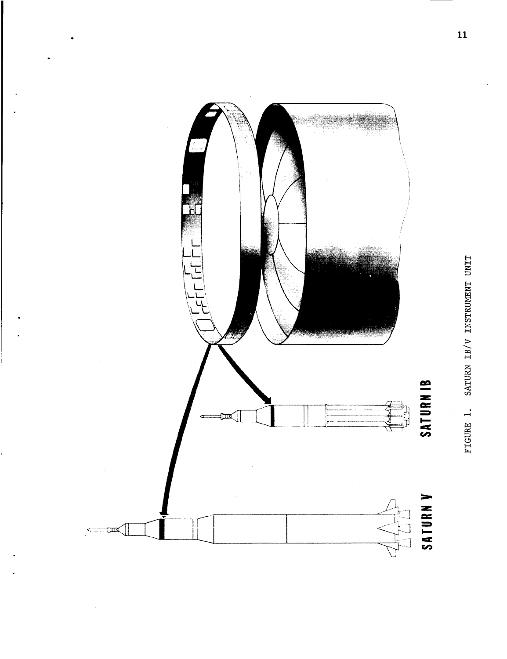

FIGURE 1. SATURN IB/V INSTRUMENT UNIT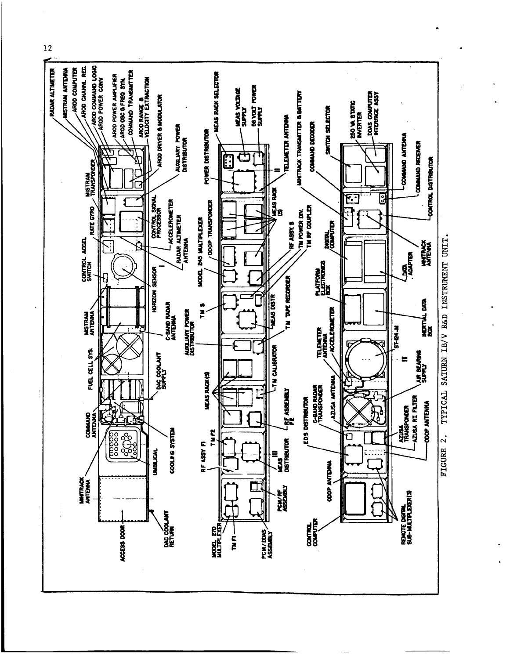

TYPICAL SATURN IB/V R&D INSTRUMENT UNIT.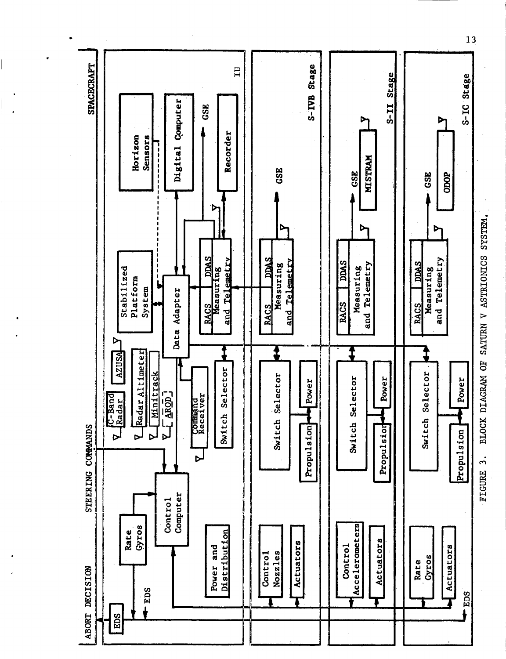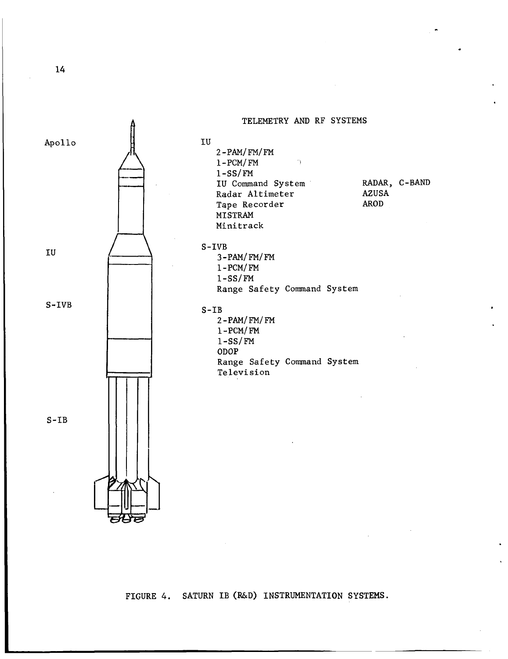

FIGURE 4. SATURN IB (R&D) INSTRUMENTATION SYSTEMS.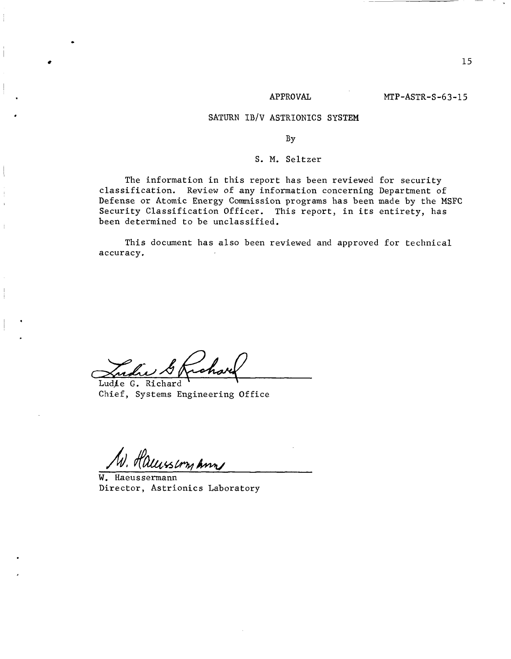## SATURN IB/V ASTRIONICS SYSTEM

## By

## S. M. Seltzer

The information in this report has been reviewed for security classification. Review of any information concerning Department of Defense or Atomic Energy Commission programs has been made by the MSFC Security Classification Officer. This report, in its entirety, has been determined to be unclassified.

This document has also been reviewed and approved for technical accuracy.

Ludie G. Richard

Chief, Systems Engineering Office

.

,

is com Ann

W. Haeussermann Director, Astrionics Laboratory